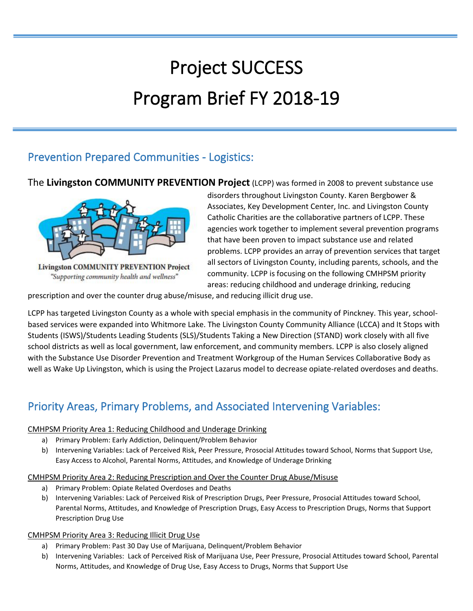# Project SUCCESS Program Brief FY 2018-19

### Prevention Prepared Communities - Logistics:

The **Livingston COMMUNITY PREVENTION Project** (LCPP) was formed in 2008 to prevent substance use



**Livingston COMMUNITY PREVENTION Project** "Supporting community health and wellness"

disorders throughout Livingston County. Karen Bergbower & Associates, Key Development Center, Inc. and Livingston County Catholic Charities are the collaborative partners of LCPP. These agencies work together to implement several prevention programs that have been proven to impact substance use and related problems. LCPP provides an array of prevention services that target all sectors of Livingston County, including parents, schools, and the community. LCPP is focusing on the following CMHPSM priority areas: reducing childhood and underage drinking, reducing

prescription and over the counter drug abuse/misuse, and reducing illicit drug use.

LCPP has targeted Livingston County as a whole with special emphasis in the community of Pinckney. This year, schoolbased services were expanded into Whitmore Lake. The Livingston County Community Alliance (LCCA) and It Stops with Students (ISWS)/Students Leading Students (SLS)/Students Taking a New Direction (STAND) work closely with all five school districts as well as local government, law enforcement, and community members. LCPP is also closely aligned with the Substance Use Disorder Prevention and Treatment Workgroup of the Human Services Collaborative Body as well as Wake Up Livingston, which is using the Project Lazarus model to decrease opiate-related overdoses and deaths.

# Priority Areas, Primary Problems, and Associated Intervening Variables:

#### CMHPSM Priority Area 1: Reducing Childhood and Underage Drinking

- a) Primary Problem: Early Addiction, Delinquent/Problem Behavior
- b) Intervening Variables: Lack of Perceived Risk, Peer Pressure, Prosocial Attitudes toward School, Norms that Support Use, Easy Access to Alcohol, Parental Norms, Attitudes, and Knowledge of Underage Drinking

#### CMHPSM Priority Area 2: Reducing Prescription and Over the Counter Drug Abuse/Misuse

- a) Primary Problem: Opiate Related Overdoses and Deaths
- b) Intervening Variables: Lack of Perceived Risk of Prescription Drugs, Peer Pressure, Prosocial Attitudes toward School, Parental Norms, Attitudes, and Knowledge of Prescription Drugs, Easy Access to Prescription Drugs, Norms that Support Prescription Drug Use

#### CMHPSM Priority Area 3: Reducing Illicit Drug Use

- a) Primary Problem: Past 30 Day Use of Marijuana, Delinquent/Problem Behavior
- b) Intervening Variables: Lack of Perceived Risk of Marijuana Use, Peer Pressure, Prosocial Attitudes toward School, Parental Norms, Attitudes, and Knowledge of Drug Use, Easy Access to Drugs, Norms that Support Use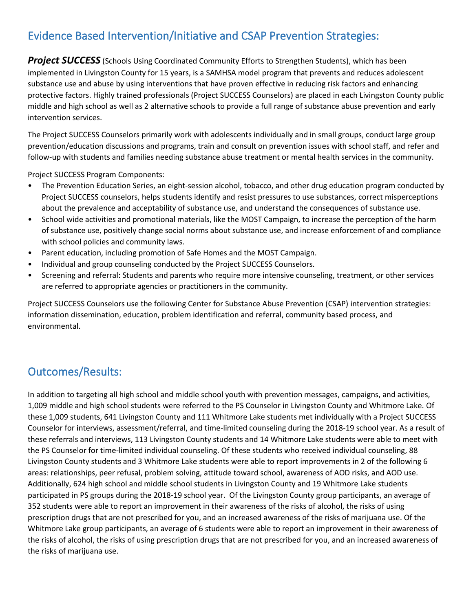# Evidence Based Intervention/Initiative and CSAP Prevention Strategies:

*Project SUCCESS* (Schools Using Coordinated Community Efforts to Strengthen Students), which has been implemented in Livingston County for 15 years, is a SAMHSA model program that prevents and reduces adolescent substance use and abuse by using interventions that have proven effective in reducing risk factors and enhancing protective factors. Highly trained professionals (Project SUCCESS Counselors) are placed in each Livingston County public middle and high school as well as 2 alternative schools to provide a full range of substance abuse prevention and early intervention services.

The Project SUCCESS Counselors primarily work with adolescents individually and in small groups, conduct large group prevention/education discussions and programs, train and consult on prevention issues with school staff, and refer and follow-up with students and families needing substance abuse treatment or mental health services in the community.

Project SUCCESS Program Components:

- The Prevention Education Series, an eight-session alcohol, tobacco, and other drug education program conducted by Project SUCCESS counselors, helps students identify and resist pressures to use substances, correct misperceptions about the prevalence and acceptability of substance use, and understand the consequences of substance use.
- School wide activities and promotional materials, like the MOST Campaign, to increase the perception of the harm of substance use, positively change social norms about substance use, and increase enforcement of and compliance with school policies and community laws.
- Parent education, including promotion of Safe Homes and the MOST Campaign.
- Individual and group counseling conducted by the Project SUCCESS Counselors.
- Screening and referral: Students and parents who require more intensive counseling, treatment, or other services are referred to appropriate agencies or practitioners in the community.

Project SUCCESS Counselors use the following Center for Substance Abuse Prevention (CSAP) intervention strategies: information dissemination, education, problem identification and referral, community based process, and environmental.

# Outcomes/Results:

In addition to targeting all high school and middle school youth with prevention messages, campaigns, and activities, 1,009 middle and high school students were referred to the PS Counselor in Livingston County and Whitmore Lake. Of these 1,009 students, 641 Livingston County and 111 Whitmore Lake students met individually with a Project SUCCESS Counselor for interviews, assessment/referral, and time-limited counseling during the 2018-19 school year. As a result of these referrals and interviews, 113 Livingston County students and 14 Whitmore Lake students were able to meet with the PS Counselor for time-limited individual counseling. Of these students who received individual counseling, 88 Livingston County students and 3 Whitmore Lake students were able to report improvements in 2 of the following 6 areas: relationships, peer refusal, problem solving, attitude toward school, awareness of AOD risks, and AOD use. Additionally, 624 high school and middle school students in Livingston County and 19 Whitmore Lake students participated in PS groups during the 2018-19 school year. Of the Livingston County group participants, an average of 352 students were able to report an improvement in their awareness of the risks of alcohol, the risks of using prescription drugs that are not prescribed for you, and an increased awareness of the risks of marijuana use. Of the Whitmore Lake group participants, an average of 6 students were able to report an improvement in their awareness of the risks of alcohol, the risks of using prescription drugs that are not prescribed for you, and an increased awareness of the risks of marijuana use.